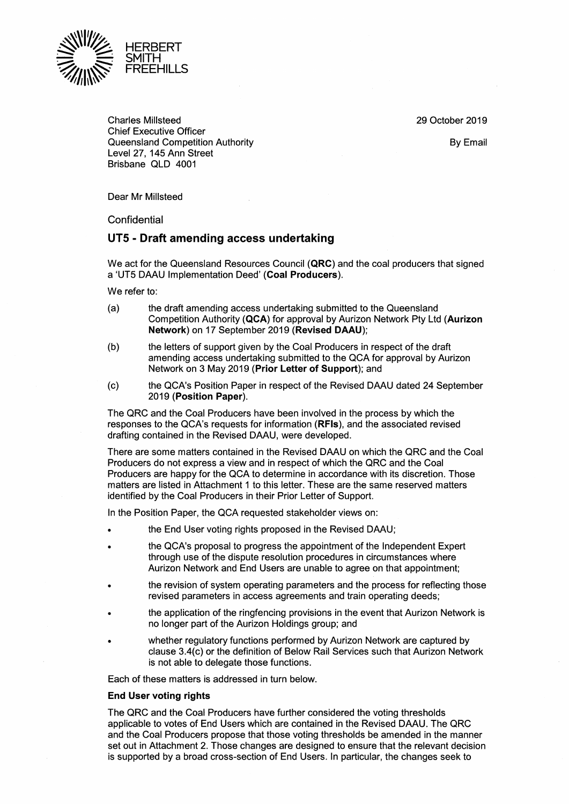29 October 2019



Charles Millsteed Chief Executive Officer Queensland Competition Authority Level 27, 145 Ann Street Brisbane QLD 4001

By Email

Dear Mr Millsteed

**Confidential** 

### UTS - Draft amending access undertaking

We act for the Queensland Resources Council (QRC) and the coal producers that signed a 'UT5 DAAU Implementation Deed' (Coal Producers).

We refer to:

- (a) the draft amending access undertaking submitted to the Queensland Competition Authority (QCA) for approval by Aurizon Network Pty Ltd (Aurizon Network) on 17 September 2019 (Revised DAAU);
- (b) the letters of support given by the Coal Producers in respect of the draft amending access undertaking submitted to the QCA for approval by Aurizon Network on 3 May 2019 (Prior Letter of Support); and
- (c) the QCA's Position Paper in respect of the Revised DAAU dated 24 September 2019 (Position Paper).

The QRC and the Coal Producers have been involved in the process by which the responses to the QCA's requests for information (RFis), and the associated revised drafting contained in the Revised DAAU, were developed.

There are some matters contained in the Revised DAAU on which the QRC and the Coal Producers do not express a view and in respect of which the QRC and the Coal Producers are happy for the QCA to determine in accordance with its discretion. Those matters are listed in Attachment 1 to this letter. These are the same reserved matters identified by the Coal Producers in their Prior Letter of Support.

In the Position Paper, the QCA requested stakeholder views on:

- the End User voting rights proposed in the Revised DAAU;
- the QCA's proposal to progress the appointment of the Independent Expert through use of the dispute resolution procedures in circumstances where Aurizon Network and End Users are unable to agree on that appointment;
- the revision of system operating parameters and the process for reflecting those revised parameters in access agreements and train operating deeds;
- the application of the ringfencing provisions in the event that Aurizon Network is no longer part of the Aurizon Holdings group; and
- whether regulatory functions performed by Aurizon Network are captured by clause 3.4(c) or the definition of Below Rail Services such that Aurizon Network is not able to delegate those functions.

Each of these matters is addressed in turn below.

### End User voting rights

The QRC and the Coal Producers have further considered the voting thresholds applicable to votes of End Users which are contained in the Revised DAAU. The QRC and the Coal Producers propose that those voting thresholds be amended in the manner set out in Attachment 2. Those changes are designed to ensure that the relevant decision is supported by a broad cross-section of End Users. In particular, the changes seek to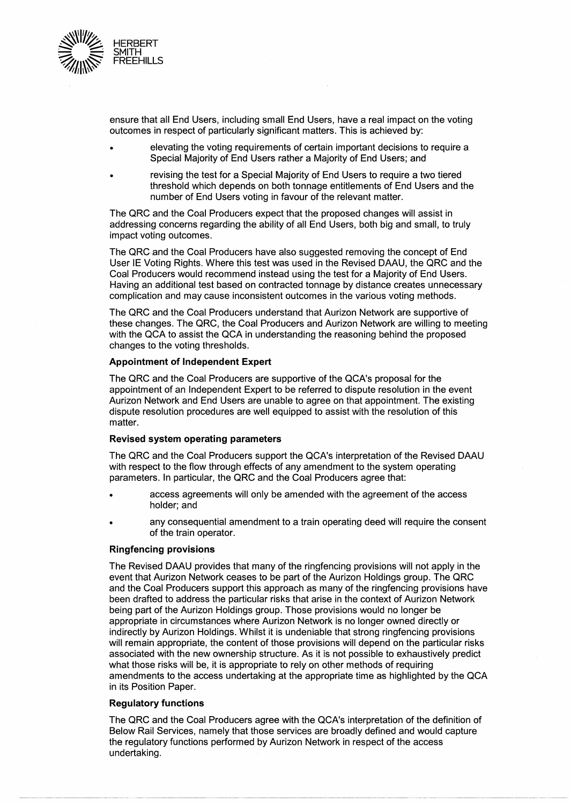

ensure that all End Users, including small End Users, have a real impact on the voting outcomes in respect of particularly significant matters. This is achieved by:

- elevating the voting requirements of certain important decisions to require a Special Majority of End Users rather a Majority of End Users; and
- revising the test for a Special Majority of End Users to require a two tiered threshold which depends on both tonnage entitlements of End Users and the number of End Users voting in favour of the relevant matter.

The QRC and the Coal Producers expect that the proposed changes will assist in addressing concerns regarding the ability of all End Users, both big and small, to truly impact voting outcomes.

The QRC and the Coal Producers have also suggested removing the concept of End User IE Voting Rights. Where this test was used in the Revised DAAU, the QRC and the Coal Producers would recommend instead using the test for a Majority of End Users. Having an additional test based on contracted tonnage by distance creates unnecessary complication and may cause inconsistent outcomes in the various voting methods.

The QRC and the Coal Producers understand that Aurizon Network are supportive of these changes. The QRC, the Coal Producers and Aurizon Network are willing to meeting with the QCA to assist the QCA in understanding the reasoning behind the proposed changes to the voting thresholds.

#### **Appointment of Independent Expert**

The QRC and the Coal Producers are supportive of the QCA's proposal for the appointment of an Independent Expert to be referred to dispute resolution in the event Aurizon Network and End Users are unable to agree on that appointment. The existing dispute resolution procedures are well equipped to assist with the resolution of this matter.

#### **Revised system operating parameters**

The QRC and the Coal Producers support the QCA's interpretation of the Revised DAAU with respect to the flow through effects of any amendment to the system operating parameters. In particular, the QRC and the Coal Producers agree that:

- access agreements will only be amended with the agreement of the access holder; and
- any consequential amendment to a train operating deed will require the consent of the train operator.

### **Ringfencing provisions**

The Revised DAAU provides that many of the ringfencing provisions will not apply in the event that Aurizon Network ceases to be part of the Aurizon Holdings group. The QRC and the Coal Producers support this approach as many of the ringfencing provisions have been drafted to address the particular risks that arise in the context of Aurizon Network being part of the Aurizon Holdings group. Those provisions would no longer be appropriate in circumstances where Aurizon Network is no longer owned directly or indirectly by Aurizon Holdings. Whilst it is undeniable that strong ringfencing provisions will remain appropriate, the content of those provisions will depend on the particular risks associated with the new ownership structure. As it is not possible to exhaustively predict what those risks will be, it is appropriate to rely on other methods of requiring amendments to the access undertaking at the appropriate time as highlighted by the QCA in its Position Paper.

### **Regulatory functions**

The QRC and the Coal Producers agree with the QCA's interpretation of the definition of Below Rail Services, namely that those services are broadly defined and would capture the regulatory functions performed by Aurizon Network in respect of the access undertaking.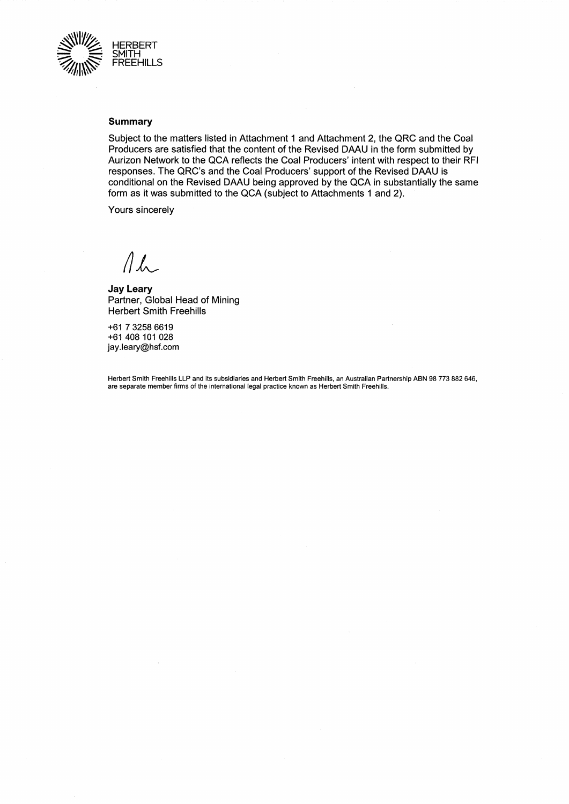

### **Summary**

Subject to the matters listed in Attachment 1 and Attachment 2, the QRC and the Coal Producers are satisfied that the content of the Revised DAAU in the form submitted by Aurizon Network to the QCA reflects the Coal Producers' intent with respect to their RFI responses. The QRC's and the Coal Producers' support of the Revised DAAU is conditional on the Revised DAAU being approved by the QCA in substantially the same form as it was submitted to the QCA (subject to Attachments 1 and 2).

Yours sincerely

 $\Lambda$ L

**Jay Leary**  Partner, Global Head of Mining Herbert Smith Freehills

+61 7 3258 6619 +61 408 101 028 jay.leary@hsf.com

Herbert Smith Freehills LLP and its subsidiaries and Herbert Smith Freehills, an Australian Partnership ABN 98 773 882 646, are separate member firms of the international legal practice known as Herbert Smith Freehills.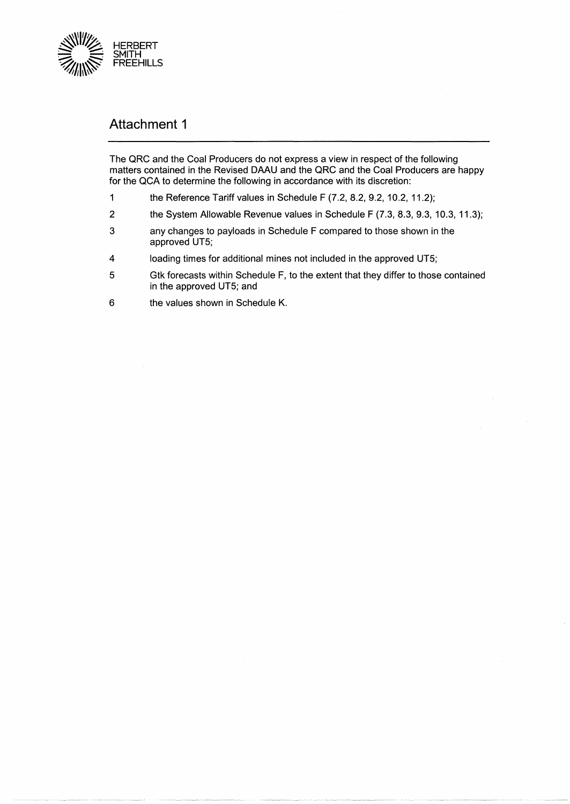

## **Attachment 1**

The QRC and the Coal Producers do not express a view in respect of the following matters contained in the Revised DAAU and the QRC and the Coal Producers are happy for the QCA to determine the following in accordance with its discretion:

- 1 the Reference Tariff values in Schedule F (7.2, 8.2, 9.2, 10.2, 11.2);
- 2 the System Allowable Revenue values in Schedule F (7.3, 8.3, 9.3, 10.3, 11.3);
- 3 any changes to payloads in Schedule F compared to those shown in the approved UT5;
- 4 loading times for additional mines not included in the approved UT5;
- 5 Gtk forecasts within Schedule F, to the extent that they differ to those contained in the approved UT5; and
- 6 the values shown in Schedule K.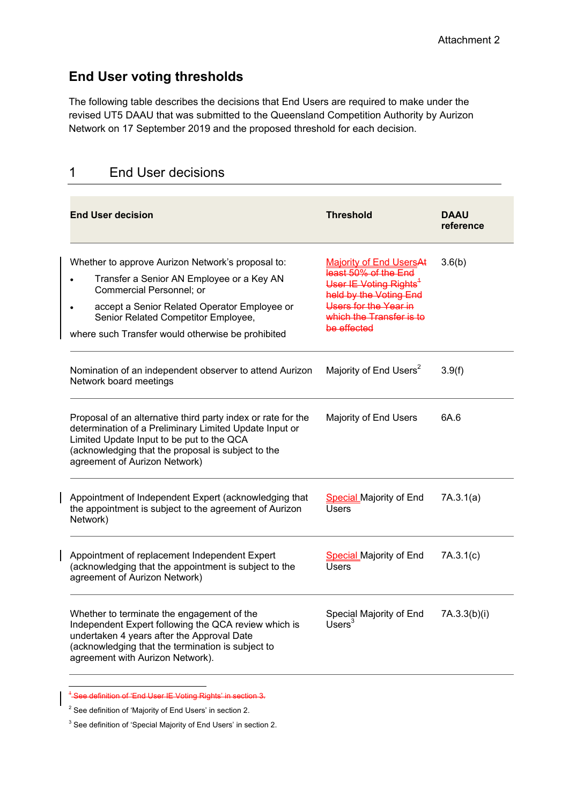# **End User voting thresholds**

1 End User decisions

The following table describes the decisions that End Users are required to make under the revised UT5 DAAU that was submitted to the Queensland Competition Authority by Aurizon Network on 17 September 2019 and the proposed threshold for each decision.

#### **End User decision Threshold DAAU reference**  Whether to approve Aurizon Network's proposal to: Transfer a Senior AN Employee or a Key AN Commercial Personnel; or accept a Senior Related Operator Employee or Senior Related Competitor Employee, where such Transfer would otherwise be prohibited Majority of End UsersAt least 50% of the End User IE Voting Rights ${}^4$ held by the Voting End Users for the Year in which the Transfer is to be effected 3.6(b) Nomination of an independent observer to attend Aurizon Network board meetings Majority of End Users $2$  3.9(f) Proposal of an alternative third party index or rate for the determination of a Preliminary Limited Update Input or Limited Update Input to be put to the QCA (acknowledging that the proposal is subject to the agreement of Aurizon Network) Majority of End Users 6A.6 Appointment of Independent Expert (acknowledging that the appointment is subject to the agreement of Aurizon Network) Special Majority of End **Users** 7A.3.1(a) Appointment of replacement Independent Expert (acknowledging that the appointment is subject to the agreement of Aurizon Network) **Special Majority of End** Users 7A.3.1(c) Whether to terminate the engagement of the Independent Expert following the QCA review which is undertaken 4 years after the Approval Date (acknowledging that the termination is subject to agreement with Aurizon Network). Special Majority of End Users $3$ 7A.3.3(b)(i)

1 See definition of 'End User IE Voting Rights' in section 3.

<sup>2</sup> See definition of 'Majority of End Users' in section 2.

 $3$  See definition of 'Special Majority of End Users' in section 2.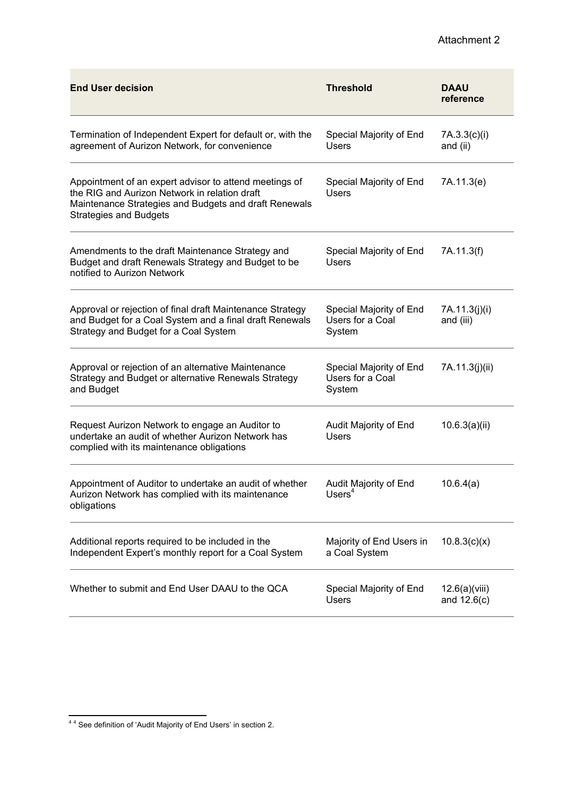### Attachment 2

| <b>End User decision</b>                                                                                                                                                                          | <b>Threshold</b>                                      | <b>DAAU</b><br>reference       |
|---------------------------------------------------------------------------------------------------------------------------------------------------------------------------------------------------|-------------------------------------------------------|--------------------------------|
| Termination of Independent Expert for default or, with the<br>agreement of Aurizon Network, for convenience                                                                                       | Special Majority of End<br><b>Users</b>               | 7A.3.3(c)(i)<br>and (ii)       |
| Appointment of an expert advisor to attend meetings of<br>the RIG and Aurizon Network in relation draft<br>Maintenance Strategies and Budgets and draft Renewals<br><b>Strategies and Budgets</b> | Special Majority of End<br>Users                      | 7A.11.3(e)                     |
| Amendments to the draft Maintenance Strategy and<br>Budget and draft Renewals Strategy and Budget to be<br>notified to Aurizon Network                                                            | Special Majority of End<br><b>Users</b>               | 7A.11.3(f)                     |
| Approval or rejection of final draft Maintenance Strategy<br>and Budget for a Coal System and a final draft Renewals<br>Strategy and Budget for a Coal System                                     | Special Majority of End<br>Users for a Coal<br>System | 7A.11.3(j)(i)<br>and (iii)     |
| Approval or rejection of an alternative Maintenance<br>Strategy and Budget or alternative Renewals Strategy<br>and Budget                                                                         | Special Majority of End<br>Users for a Coal<br>System | 7A.11.3(j)(ii)                 |
| Request Aurizon Network to engage an Auditor to<br>undertake an audit of whether Aurizon Network has<br>complied with its maintenance obligations                                                 | Audit Majority of End<br><b>Users</b>                 | 10.6.3(a)(ii)                  |
| Appointment of Auditor to undertake an audit of whether<br>Aurizon Network has complied with its maintenance<br>obligations                                                                       | Audit Majority of End<br>Users <sup>4</sup>           | 10.6.4(a)                      |
| Additional reports required to be included in the<br>Independent Expert's monthly report for a Coal System                                                                                        | Majority of End Users in<br>a Coal System             | 10.8.3(c)(x)                   |
| Whether to submit and End User DAAU to the QCA                                                                                                                                                    | Special Majority of End<br><b>Users</b>               | 12.6(a)(viii)<br>and $12.6(c)$ |

 4 4 See definition of 'Audit Majority of End Users' in section 2.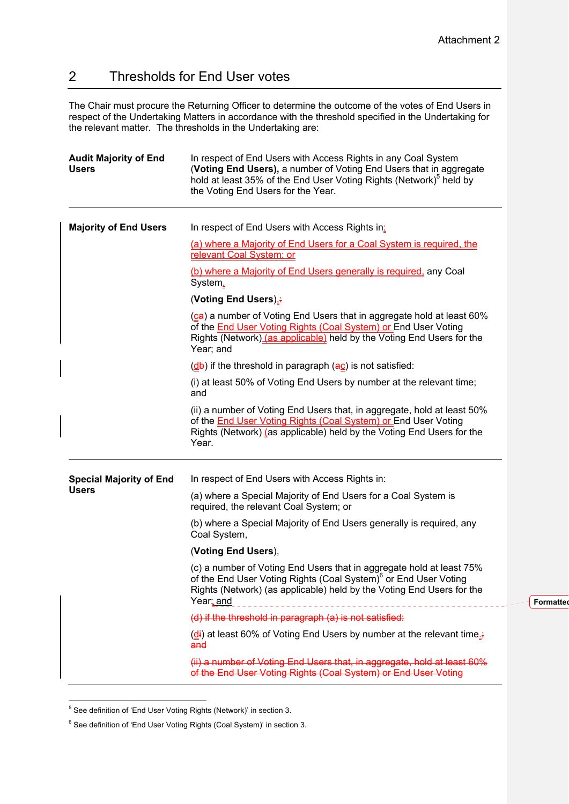# 2 Thresholds for End User votes

The Chair must procure the Returning Officer to determine the outcome of the votes of End Users in respect of the Undertaking Matters in accordance with the threshold specified in the Undertaking for the relevant matter. The thresholds in the Undertaking are:

| <b>Audit Majority of End</b><br><b>Users</b>   | In respect of End Users with Access Rights in any Coal System<br>(Voting End Users), a number of Voting End Users that in aggregate<br>hold at least 35% of the End User Voting Rights (Network) <sup>5</sup> held by<br>the Voting End Users for the Year. |          |
|------------------------------------------------|-------------------------------------------------------------------------------------------------------------------------------------------------------------------------------------------------------------------------------------------------------------|----------|
| <b>Majority of End Users</b>                   | In respect of End Users with Access Rights in:                                                                                                                                                                                                              |          |
|                                                | (a) where a Majority of End Users for a Coal System is required, the<br>relevant Coal System; or                                                                                                                                                            |          |
|                                                | (b) where a Majority of End Users generally is required, any Coal<br>System,                                                                                                                                                                                |          |
|                                                | (Voting End Users).:                                                                                                                                                                                                                                        |          |
|                                                | (ca) a number of Voting End Users that in aggregate hold at least 60%<br>of the <b>End User Voting Rights (Coal System) or End User Voting</b><br>Rights (Network) (as applicable) held by the Voting End Users for the<br>Year; and                        |          |
|                                                | $(d)$ if the threshold in paragraph $(aC)$ is not satisfied:                                                                                                                                                                                                |          |
|                                                | (i) at least 50% of Voting End Users by number at the relevant time;<br>and                                                                                                                                                                                 |          |
|                                                | (ii) a number of Voting End Users that, in aggregate, hold at least 50%<br>of the <b>End User Voting Rights (Coal System) or End User Voting</b><br>Rights (Network) (as applicable) held by the Voting End Users for the<br>Year.                          |          |
| <b>Special Majority of End</b><br><b>Users</b> | In respect of End Users with Access Rights in:                                                                                                                                                                                                              |          |
|                                                | (a) where a Special Majority of End Users for a Coal System is<br>required, the relevant Coal System; or                                                                                                                                                    |          |
|                                                | (b) where a Special Majority of End Users generally is required, any<br>Coal System,                                                                                                                                                                        |          |
|                                                | (Voting End Users),                                                                                                                                                                                                                                         |          |
|                                                | (c) a number of Voting End Users that in aggregate hold at least 75%<br>of the End User Voting Rights (Coal System) <sup>6</sup> or End User Voting<br>Rights (Network) (as applicable) held by the Voting End Users for the<br>Year <u>, and</u>           | Formatte |
|                                                | (d) if the threshold in paragraph (a) is not satisfied:                                                                                                                                                                                                     |          |
|                                                | $(\underline{d}i)$ at least 60% of Voting End Users by number at the relevant time.;<br>and                                                                                                                                                                 |          |
|                                                | (ii) a number of Voting End Users that, in aggregate, hold at least 60%<br>of the End User Voting Rights (Coal System) or End User Voting                                                                                                                   |          |
|                                                |                                                                                                                                                                                                                                                             |          |

 5 See definition of 'End User Voting Rights (Network)' in section 3.

<sup>&</sup>lt;sup>6</sup> See definition of 'End User Voting Rights (Coal System)' in section 3.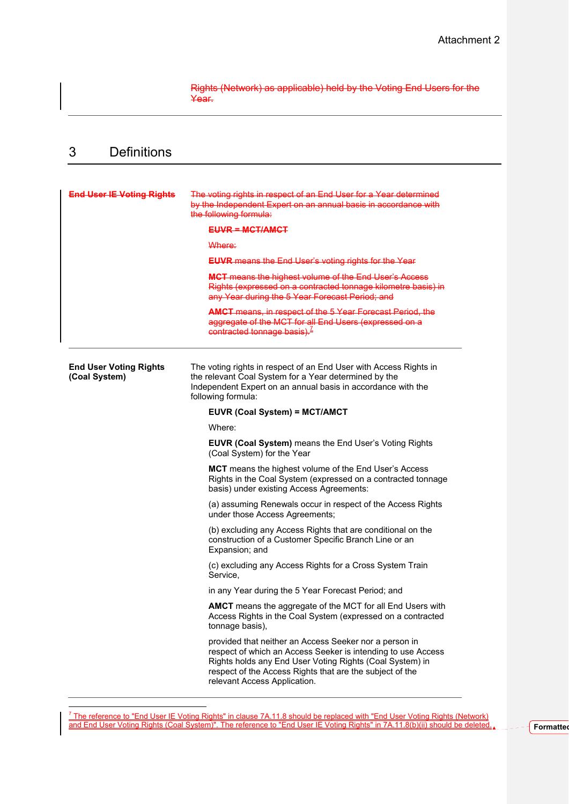Rights (Network) as applicable) held by the Voting End Users for the Year.

## 3 Definitions

| <b>End User IE Voting Rights</b>               | The voting rights in respect of an End User for a Year determined<br>by the Independent Expert on an annual basis in accordance with<br>the following formula:<br><b>EUVR = MCT/AMCT</b><br>Where:<br><b>EUVR</b> means the End User's voting rights for the Year<br><b>MCT</b> means the highest volume of the End User's Access<br>Rights (expressed on a contracted tonnage kilometre basis) in<br>any Year during the 5 Year Forecast Period; and<br><b>AMCT</b> means, in respect of the 5 Year Forecast Period, the<br>aggregate of the MCT for all End Users (expressed on a<br>contracted tonnage basis). <sup>7</sup> |
|------------------------------------------------|--------------------------------------------------------------------------------------------------------------------------------------------------------------------------------------------------------------------------------------------------------------------------------------------------------------------------------------------------------------------------------------------------------------------------------------------------------------------------------------------------------------------------------------------------------------------------------------------------------------------------------|
| <b>End User Voting Rights</b><br>(Coal System) | The voting rights in respect of an End User with Access Rights in<br>the relevant Coal System for a Year determined by the<br>Independent Expert on an annual basis in accordance with the<br>following formula:                                                                                                                                                                                                                                                                                                                                                                                                               |
|                                                | EUVR (Coal System) = MCT/AMCT                                                                                                                                                                                                                                                                                                                                                                                                                                                                                                                                                                                                  |
|                                                | Where:                                                                                                                                                                                                                                                                                                                                                                                                                                                                                                                                                                                                                         |
|                                                | <b>EUVR (Coal System)</b> means the End User's Voting Rights<br>(Coal System) for the Year                                                                                                                                                                                                                                                                                                                                                                                                                                                                                                                                     |
|                                                | <b>MCT</b> means the highest volume of the End User's Access<br>Rights in the Coal System (expressed on a contracted tonnage<br>basis) under existing Access Agreements:                                                                                                                                                                                                                                                                                                                                                                                                                                                       |
|                                                | (a) assuming Renewals occur in respect of the Access Rights<br>under those Access Agreements;                                                                                                                                                                                                                                                                                                                                                                                                                                                                                                                                  |
|                                                | (b) excluding any Access Rights that are conditional on the<br>construction of a Customer Specific Branch Line or an<br>Expansion; and                                                                                                                                                                                                                                                                                                                                                                                                                                                                                         |
|                                                | (c) excluding any Access Rights for a Cross System Train<br>Service,                                                                                                                                                                                                                                                                                                                                                                                                                                                                                                                                                           |
|                                                | in any Year during the 5 Year Forecast Period; and                                                                                                                                                                                                                                                                                                                                                                                                                                                                                                                                                                             |
|                                                | AMCT means the aggregate of the MCT for all End Users with<br>Access Rights in the Coal System (expressed on a contracted<br>tonnage basis),                                                                                                                                                                                                                                                                                                                                                                                                                                                                                   |
|                                                | provided that neither an Access Seeker nor a person in<br>respect of which an Access Seeker is intending to use Access<br>Rights holds any End User Voting Rights (Coal System) in<br>respect of the Access Rights that are the subject of the<br>relevant Access Application.                                                                                                                                                                                                                                                                                                                                                 |

 7 The reference to "End User IE Voting Rights" in clause 7A.11.8 should be replaced with "End User Voting Rights (Network) and End User Voting Rights (Coal System)". The reference to "End User IE Voting Rights" in 7A.11.8(b)(ii) should be deleted. **Formatted**